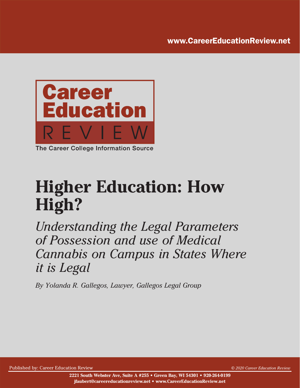www.CareerEducationReview.net



**Higher Education: How High?**

*Understanding the Legal Parameters of Possession and use of Medical Cannabis on Campus in States Where it is Legal*

*By Yolanda R. Gallegos, Lawyer, Gallegos Legal Group*

Published by: Career Education Review *© 2020 Career Education Review*

**2221 South Webster Ave, Suite A #255 • Green Bay, WI 54301 • 920-264-0199 jfaubert@careereducationreview.net • www.CareerEducationReview.net**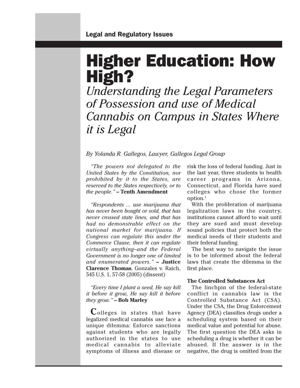# Higher Education: How High?

*Understanding the Legal Parameters of Possession and use of Medical Cannabis on Campus in States Where it is Legal*

### *By Yolanda R. Gallegos, Lawyer, Gallegos Legal Group*

*"The powers not delegated to the United States by the Constitution, nor prohibited by it to the States, are reserved to the States respectively, or to the people."* **– Tenth Amendment**

*"Respondents ... use marijuana that has never been bought or sold, that has never crossed state lines, and that has had no demonstrable effect on the national market for marijuana. If Congress can regulate this under the Commerce Clause, then it can regulate virtually anything–and the Federal Government is no longer one of limited and enumerated powers."* **– Justice Clarence Thomas**, Gonzales v. Raich, 545 U.S. 1, 57-58 (2005) (dissent)

*"Every time I plant a seed, He say kill it before it grow, He say kill it before they grow."* **– Bob Marley**

**C**olleges in states that have legalized medical cannabis use face a unique dilemma: Enforce sanctions against students who are legally authorized in the states to use medical cannabis to alleviate symptoms of illness and disease or

risk the loss of federal funding. Just in the last year, three students in health career programs in Arizona, Connecticut, and Florida have sued colleges who chose the former option.1

With the proliferation of marijuana legalization laws in the country, institutions cannot afford to wait until they are sued and must develop sound policies that protect both the medical needs of their students and their federal funding.

The best way to navigate the issue is to be informed about the federal laws that create the dilemma in the first place.

#### **The Controlled Substances Act**

The linchpin of the federal-state conflict in cannabis law is the Controlled Substance Act (CSA). Under the CSA, the Drug Enforcement Agency (DEA) classifies drugs under a scheduling system based on their medical value and potential for abuse. The first question the DEA asks in scheduling a drug is whether it can be abused. If the answer is in the negative, the drug is omitted from the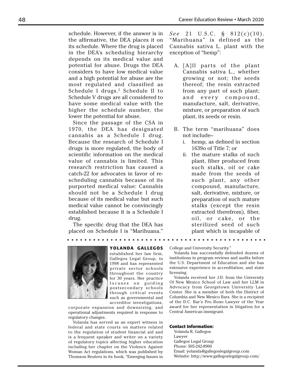schedule. However, if the answer is in the affirmative, the DEA places it on its schedule. Where the drug is placed in the DEA's scheduling hierarchy depends on its medical value and potential for abuse. Drugs the DEA considers to have low medical value and a high potential for abuse are the most regulated and classified as Schedule I drugs.<sup>2</sup> Schedule II to Schedule V drugs are all considered to have some medical value with the higher the schedule number, the lower the potential for abuse.

Since the passage of the CSA in 1970, the DEA has designated cannabis as a Schedule I drug. Because the research of Schedule I drugs is more regulated, the body of scientific information on the medical value of cannabis is limited. This research restriction has caused a catch-22 for advocates in favor of rescheduling cannabis because of its purported medical value: Cannabis should not be a Schedule I drug because of its medical value but such medical value cannot be convincingly established because it is a Schedule I drug.

The specific drug that the DEA has placed on Schedule I is "Marihuana." *See* 21 U.S.C. § 812(c)(10). "Marihuana" is defined as the Cannabis sativa L. plant with the exception of "hemp":

- A. [A]ll parts of the plant Cannabis sativa L., whether growing or not; the seeds thereof; the resin extracted from any part of such plant; and every compound, manufacture, salt, derivative, mixture, or preparation of such plant, its seeds or resin.
- B. The term "marihuana" does not include-
	- i. hemp, as defined in section 1639o of Title 7; or
	- ii. the mature stalks of such plant, fiber produced from such stalks, oil or cake made from the seeds of such plant, any other compound, manufacture, salt, derivative, mixture, or preparation of such mature stalks (except the resin extracted therefrom), fiber, oil, or cake, or the sterilized seed of such plant which is incapable of



**YOLANDA GALLEGOS**

established her law firm, Gallegos Legal Group, in 1998 and has represented private sector schools throughout the country for 30 years. Her practice focuses on guiding postsecondary schools through critical events such as governmental and accreditor investigations,

corporate expansion and downsizing, and operational adjustments required in response to regulatory changes.

Yolanda has served as an expert witness in federal and state courts on matters related to the regulation of student financial aid and is a frequent speaker and writer on a variety of regulatory topics affecting higher education including her chapter on the Violence Against Woman Act regulations, which was published by Thomson Reuters in its book, "Emerging Issues in College and University Security."

Yolanda has successfully defended dozens of institutions in program reviews and audits before the U.S. Department of Education and she has extensive experience in accreditation, and state licensing.

Yolanda received her J.D. from the University Of New Mexico School of Law and her LLM in Advocacy from Georgetown University Law Center. She is a member of both the District of Columbia and New Mexico Bars. She is a recipient of the D.C. Bar's Pro Bono Lawyer of the Year award for her representation in litigation for a Central American immigrant.

#### **Contact Information:**

Yolanda R. Gallegos Lawyer Gallegos Legal Group Phone: 505-242-8900 Email: yolanda@gallegoslegalgroup.com Website: http://www.gallegoslegalgroup.com/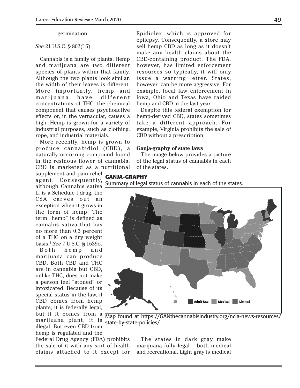#### germination.

#### *See* 21 U.S.C. § 802(16).

Cannabis is a family of plants. Hemp and marijuana are two different species of plants within that family. Although the two plants look similar, the width of their leaves is different. More importantly, hemp and marijuana have different concentrations of THC, the chemical component that causes psychoactive effects or, in the vernacular, causes a high. Hemp is grown for a variety of industrial purposes, such as clothing, rope, and industrial materials.

More recently, hemp is grown to produce cannabidiol (CBD), a naturally occurring compound found in the resinous flower of cannabis. CBD is marketed as a nutritional

supplement and pain relief agent. Consequently, although Cannabis sativa L. is a Schedule I drug, the CSA carves out an exception when it grows in the form of hemp. The term "hemp" is defined as cannabis sativa that has no more than 0.3 percent of a THC on a dry weight basis.3 *See* 7 U.S.C. § 1639o. Both hemp and

marijuana can produce CBD. Both CBD and THC are in cannabis but CBD, unlike THC, does not make a person feel "stoned" or intoxicated. Because of its special status in the law, if CBD comes from hemp plants, it is federally legal, but if it comes from a marijuana plant, it is illegal. But even CBD from hemp is regulated and the

Federal Drug Agency (FDA) prohibits the sale of it with any sort of health claims attached to it except for Epidiolex, which is approved for epilepsy. Consequently, a store may sell hemp CBD as long as it doesn't make any health claims about the CBD-containing product. The FDA, however, has limited enforcement resources so typically, it will only issue a warning letter. States, however, can be more aggressive. For example, local law enforcement in Iowa, Ohio and Texas have raided hemp and CBD in the last year.

Despite this federal exemption for hemp-derived CBD, states sometimes take a different approach. For example, Virginia prohibits the sale of CBD without a prescription.

#### **Ganja-graphy of state laws**

The image below provides a picture of the legal status of cannabis in each of the states.

#### **GANJA-GRAPHY**

Summary of legal status of cannabis in each of the states.



Map found at https://GANthecannabisindustry.org/ncia-news-resources/ state-by-state-policies/

The states in dark gray make marijuana fully legal – both medical and recreational. Light gray is medical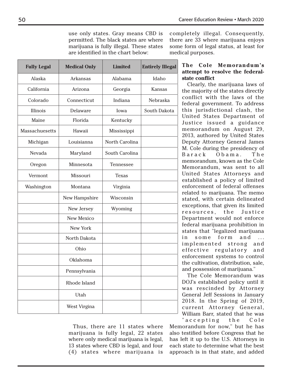use only states. Gray means CBD is permitted. The black states are where marijuana is fully illegal. These states are identified in the chart below:

completely illegal. Consequently, there are 33 where marijuana enjoys some form of legal status, at least for medical purposes.

| <b>Fully Legal</b>    | <b>Medical Only</b> | <b>Limited</b> | <b>Entirely Illegal</b> |
|-----------------------|---------------------|----------------|-------------------------|
| Alaska                | Arkansas            | Alabama        | Idaho                   |
| California            | Arizona             | Georgia        | Kansas                  |
| Colorado              | Connecticut         | Indiana        | Nebraska                |
| Illinois              | Delaware            | Iowa           | South Dakota            |
| Maine                 | Florida             | Kentucky       |                         |
| <b>Massachuesetts</b> | Hawaii              | Mississippi    |                         |
| Michigan              | Louisianna          | North Carolina |                         |
| Nevada                | Maryland            | South Carolina |                         |
| Oregon                | Minnesota           | Tennessee      |                         |
| Vermont               | Missouri            | <b>Texas</b>   |                         |
| Washington            | Montana             | Virginia       |                         |
|                       | New Hampshire       | Wisconsin      |                         |
|                       | New Jersey          | Wyoming        |                         |
|                       | <b>New Mexico</b>   |                |                         |
|                       | <b>New York</b>     |                |                         |
|                       | North Dakota        |                |                         |
|                       | Ohio                |                |                         |
|                       | Oklahoma            |                |                         |
|                       | Pennsylvania        |                |                         |
|                       | Rhode Island        |                |                         |
|                       | Utah                |                |                         |
|                       | West Virgina        |                |                         |

Thus, there are 11 states where marijuana is fully legal, 22 states where only medical marijuana is legal, 13 states where CBD is legal, and four (4) states where marijuana is

### **The Cole Memorandum's attempt to resolve the federalstate conflict**

Clearly, the marijuana laws of the majority of the states directly conflict with the laws of the federal government. To address this jurisdictional clash, the United States Department of Justice issued a guidance memorandum on August 29, 2013, authored by United States Deputy Attorney General James M. Cole during the presidency of Barack Obama. The memorandum, known as the Cole Memorandum, was sent to all United States Attorneys and established a policy of limited enforcement of federal offenses related to marijuana. The memo stated, with certain delineated exceptions, that given its limited resources, the Justice Department would not enforce federal marijuana prohibition in states that "legalized marijuana in some form and ... implemented strong and effective regulatory and enforcement systems to control the cultivation, distribution, sale, and possession of marijuana."

The Cole Memorandum was DOJ's established policy until it was rescinded by Attorney General Jeff Sessions in January 2018. In the Spring of 2019, current Attorney General, William Barr, stated that he was " a c c e p t ing the Cole

Memorandum for now," but he has also testified before Congress that he has left it up to the U.S. Attorneys in each state to determine what the best approach is in that state, and added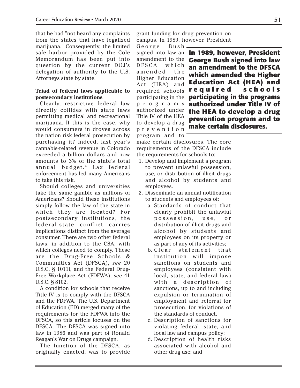that he had "not heard any complaints from the states that have legalized marijuana." Consequently, the limited safe harbor provided by the Cole Memorandum has been put into question by the current DOJ's delegation of authority to the U.S. Attorneys state by state.

#### **Triad of federal laws applicable to postsecondary institutions**

Clearly, restrictive federal law directly collides with state laws permitting medical and recreational marijuana. If this is the case, why would consumers in droves across the nation risk federal prosecution by purchasing it? Indeed, last year's cannabis-related revenue in Colorado exceeded a billion dollars and now amounts to 3% of the state's total annual budget.<sup>4</sup> Lax federal enforcement has led many Americans to take this risk.

Should colleges and universities take the same gamble as millions of Americans? Should these institutions simply follow the law of the state in which they are located? For postsecondary institutions, the federal-state conflict carries implications distinct from the average consumer. There are two other federal laws, in addition to the CSA, with which colleges need to comply. These are the Drug-Free Schools & Communities Act (DFSCA), *see* 20 U.S.C. § 1011i, and the Federal Drug-Free Workplace Act (FDFWA), *see* 41 U.S.C. § 8102.

A condition for schools that receive Title IV is to comply with the DFSCA and the FDFWA. The U.S. Department of Education (ED) merged many of the requirements for the FDFWA into the DFSCA, so this article focuses on the DFSCA. The DFSCA was signed into law in 1986 and was part of Ronald Reagan's War on Drugs campaign.

The function of the DFSCA, as originally enacted, was to provide

grant funding for drug prevention on campus. In 1989, however, President

George Bush, amendment to the DFSCA which amended the Higher Education Act (HEA) and required schools participating in the p r o g r a m s authorized under Title IV of the HEA to develop a drug p r e v e n t i o n program and to

signed into law an **In 1989, however, President George Bush signed into law an amendment to the DFSCA which amended the Higher Education Act (HEA) and r e q u i r e d s c h o o l s participating in the programs authorized under Title IV of the HEA to develop a drug prevention program and to make certain disclosures.**

make certain disclosures. The core requirements of the DFSCA include the requirements for schools to:

- 1. Develop and implement a program to prevent unlawful possession, use, or distribution of illicit drugs and alcohol by students and employees.
- 2. Disseminate an annual notification to students and employees of:
	- a. Standards of conduct that clearly prohibit the unlawful possession, use, or distribution of illicit drugs and alcohol by students and employees on its property or as part of any of its activities;
	- b. Clear statement that institution will impose sanctions on students and employees (consistent with local, state, and federal law) with a description of sanctions, up to and including expulsion or termination of employment and referral for prosecution, for violations of the standards of conduct.
	- c. Description of sanctions for violating federal, state, and local law and campus policy;
	- d. Description of health risks associated with alcohol and other drug use; and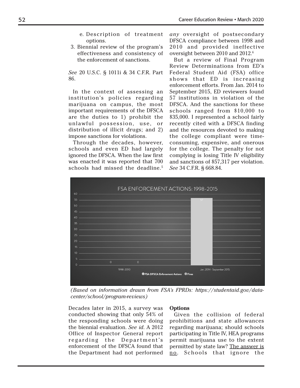- e. Description of treatment options.
- 3. Biennial review of the program's effectiveness and consistency of the enforcement of sanctions.

*See* 20 U.S.C. § 1011i & 34 C.F.R. Part 86.

In the context of assessing an institution's policies regarding marijuana on campus, the most important requirements of the DFSCA are the duties to 1) prohibit the unlawful possession, use, or distribution of illicit drugs; and 2) impose sanctions for violations.

Through the decades, however, schools and even ED had largely ignored the DFSCA. When the law first was enacted it was reported that 700 schools had missed the deadline.<sup>5</sup> *any* oversight of postsecondary DFSCA compliance between 1998 and 2010 and provided ineffective oversight between 2010 and 2012.6

But a review of Final Program Review Determinations from ED's Federal Student Aid (FSA) office shows that ED is increasing enforcement efforts. From Jan. 2014 to September 2015, ED reviewers found 57 institutions in violation of the DFSCA. And the sanctions for these schools ranged from \$10,000 to \$35,000. I represented a school fairly recently cited with a DFSCA finding and the resources devoted to making the college compliant were timeconsuming, expensive, and onerous for the college. The penalty for not complying is losing Title IV eligibility and sanctions of \$57,317 per violation. *See* 34 C.F.R. § 668.84.



*(Based on information drawn from FSA's FPRDs: https://studentaid.gov/datacenter/school/program-reviews)*

Decades later in 2015, a survey was conducted showing that only 54% of the responding schools were doing the biennial evaluation. *See id*. A 2012 Office of Inspector General report regarding the Department's enforcement of the DFSCA found that the Department had not performed

#### **Options**

Given the collision of federal prohibitions and state allowances regarding marijuana; should schools participating in Title IV, HEA programs permit marijuana use to the extent permitted by state law? The answer is no. Schools that ignore the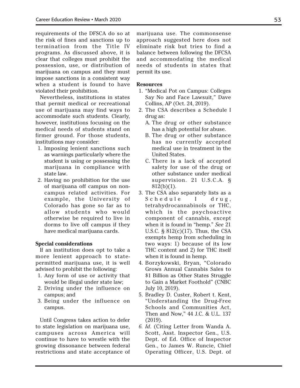requirements of the DFSCA do so at the risk of fines and sanctions up to termination from the Title IV programs. As discussed above, it is clear that colleges must prohibit the possession, use, or distribution of marijuana on campus and they must impose sanctions in a consistent way when a student is found to have violated their prohibition.

Nevertheless, institutions in states that permit medical or recreational use of marijuana may find ways to accommodate such students. Clearly, however, institutions focusing on the medical needs of students stand on firmer ground. For those students, institutions may consider:

- 1. Imposing lenient sanctions such as warnings particularly where the student is using or possessing the marijuana in compliance with state law.
- 2. Having no prohibition for the use of marijuana off campus on noncampus related activities. For example, the University of Colorado has gone so far as to allow students who would otherwise be required to live in dorms to live off campus if they have medical marijuana cards.

#### **Special considerations**

If an institution does opt to take a more lenient approach to statepermitted marijuana use, it is well advised to prohibit the following:

- 1. Any form of use or activity that would be illegal under state law;
- 2. Driving under the influence on campus; and
- 3. Being under the influence on campus.

Until Congress takes action to defer to state legislation on marijuana use, campuses across America will continue to have to wrestle with the growing dissonance between federal restrictions and state acceptance of marijuana use. The commonsense approach suggested here does not eliminate risk but tries to find a balance between following the DFCSA and accommodating the medical needs of students in states that permit its use.

#### **Resources**

- 1. "Medical Pot on Campus: Colleges Say No and Face Lawsuit," Dave Collins, AP (Oct. 24, 2019).
- 2. The CSA describes a Schedule I drug as:
	- A. The drug or other substance has a high potential for abuse.
	- B. The drug or other substance has no currently accepted medical use in treatment in the United States.
	- C. There is a lack of accepted safety for use of the drug or other substance under medical supervision. 21 U.S.C.A. §  $812(b)(1)$ .
- 3. The CSA also separately lists as a Schedule I drug, tetrahydrocannabinols or THC, which is the psychoactive component of cannabis, except when it is found in "hemp." *See* 21 U.S.C.  $\S$  812(c)(17). Thus, the CSA exempts hemp from scheduling in two ways: 1) because of its low THC content and 2) for THC itself when it is found in hemp.
- 4. Borzykowski, Bryan, "Colorado Grows Annual Cannabis Sales to \$1 Billion as Other States Struggle to Gain a Market Foothold" (CNBC July 10, 2019).
- 5. Bradley D. Custer, Robert t. Kent, "Understanding the Drug-Free Schools and Communities Act, Then and Now," 44 J.C. & U.L. 137 (2019).
- *6. Id*. (Citing Letter from Wanda A. Scott, Asst. Inspector Gen., U.S. Dept. of Ed. Office of Inspector Gen., to James W. Runcie, Chief Operating Officer, U.S. Dept. of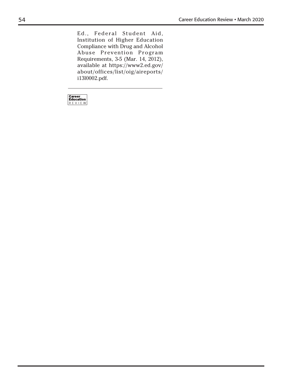Ed., Federal Student Aid, Institution of Higher Education Compliance with Drug and Alcohol Abuse Prevention Program Requirements, 3-5 (Mar. 14, 2012), available at https://www2.ed.gov/ about/offices/list/oig/aireports/ i13l0002.pdf.

 $\fbox{\parbox{2.5cm} \begin{tabular}{|l|l|} \hline \textbf{Career} & \textbf{Education} \\ \hline \textbf{Education} & \textbf{R} & \textbf{E} & \textbf{W} \\ \hline \end{tabular}}$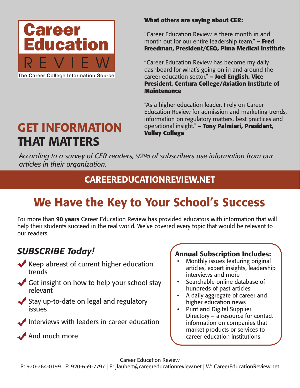

The Career College Information Source

### **What others are saying about CER:**

"Career Education Review is there month in and month out for our entire leadership team." **– Fred Freedman, President/CEO, Pima Medical Institute**

"Career Education Review has become my daily dashboard for what's going on in and around the career education sector." **– Joel English, Vice President, Centura College/Aviation Institute of Maintenance**

"As a higher education leader, I rely on Career Education Review for admission and marketing trends, information on regulatory matters, best practices and operational insight." **– Tony Palmieri, President, Valley College**

# GET INFORMATION THAT MATTERS

*According to a survey of CER readers, 92% of subscribers use information from our articles in their organization.*

## CAREEREDUCATIONREVIEW.NET

# We Have the Key to Your School's Success

For more than 90 years Career Education Review has provided educators with information that will help their students succeed in the real world. We've covered every topic that would be relevant to our readers.

## *SUBSCRIBE Today!*

- Keep abreast of current higher education trends
- Get insight on how to help your school stay relevant
- Stay up-to-date on legal and regulatory issues
- Interviews with leaders in career education

And much more

## Annual Subscription Includes:

- Monthly issues featuring original articles, expert insights, leadership interviews and more
- Searchable online database of hundreds of past articles
- A daily aggregate of career and higher education news
- Print and Digital Supplier Directory – a resource for contact information on companies that market products or services to career education institutions

Career Education Review